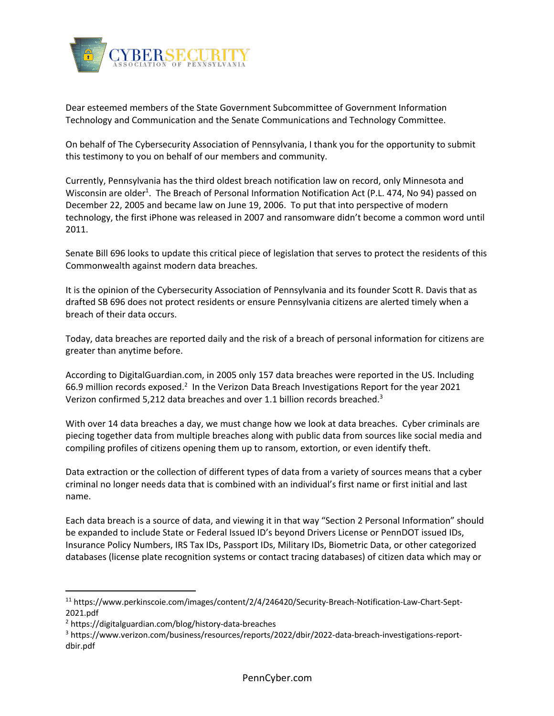

Dear esteemed members of the State Government Subcommittee of Government Information Technology and Communication and the Senate Communications and Technology Committee.

On behalf of The Cybersecurity Association of Pennsylvania, I thank you for the opportunity to submit this testimony to you on behalf of our members and community.

Currently, Pennsylvania has the third oldest breach notification law on record, only Minnesota and Wisconsin are older<sup>1</sup>. The Breach of Personal Information Notification Act (P.L. 474, No 94) passed on December 22, 2005 and became law on June 19, 2006. To put that into perspective of modern technology, the first iPhone was released in 2007 and ransomware didn't become a common word until 2011.

Senate Bill 696 looks to update this critical piece of legislation that serves to protect the residents of this Commonwealth against modern data breaches.

It is the opinion of the Cybersecurity Association of Pennsylvania and its founder Scott R. Davis that as drafted SB 696 does not protect residents or ensure Pennsylvania citizens are alerted timely when a breach of their data occurs.

Today, data breaches are reported daily and the risk of a breach of personal information for citizens are greater than anytime before.

According to DigitalGuardian.com, in 2005 only 157 data breaches were reported in the US. Including 66.9 million records exposed.<sup>2</sup> In the Verizon Data Breach Investigations Report for the year 2021 Verizon confirmed 5,212 data breaches and over 1.1 billion records breached.<sup>3</sup>

With over 14 data breaches a day, we must change how we look at data breaches. Cyber criminals are piecing together data from multiple breaches along with public data from sources like social media and compiling profiles of citizens opening them up to ransom, extortion, or even identify theft.

Data extraction or the collection of different types of data from a variety of sources means that a cyber criminal no longer needs data that is combined with an individual's first name or first initial and last name.

Each data breach is a source of data, and viewing it in that way "Section 2 Personal Information" should be expanded to include State or Federal Issued ID's beyond Drivers License or PennDOT issued IDs, Insurance Policy Numbers, IRS Tax IDs, Passport IDs, Military IDs, Biometric Data, or other categorized databases (license plate recognition systems or contact tracing databases) of citizen data which may or

<sup>11</sup> https://www.perkinscoie.com/images/content/2/4/246420/Security-Breach-Notification-Law-Chart-Sept-2021.pdf

<sup>2</sup> https://digitalguardian.com/blog/history-data-breaches

<sup>3</sup> https://www.verizon.com/business/resources/reports/2022/dbir/2022-data-breach-investigations-reportdbir.pdf